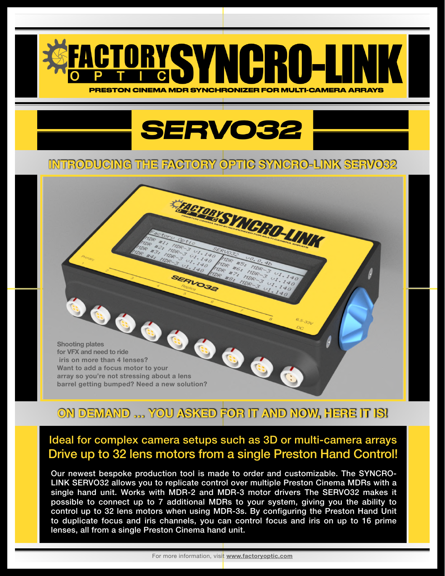

## **SERVO32**

## **INTRODUCING THE FACTORY OPTIC SYNCRO-LINK SERVO32**

SERVO32

**EngronvSYNGRO-UNIX** 

**Shooting plates for VFX and need to ride iris on more than 4 lenses? Want to add a focus motor to your array so you're not stressing about a lens barrel getting bumped? Need a new solution?**

## **ON DEMAND … YOU ASKED FOR IT AND NOW, HERE IT IS!**

## Ideal for complex camera setups such as 3D or multi-camera arrays Drive up to 32 lens motors from a single Preston Hand Control!

Our newest bespoke production tool is made to order and customizable … and Our newest bespoke production tool is made to order and customizable. The SYNCRO-Link SERVOSZ allows you to replicate control over multiple Freston Cinema MDRS with a<br>single hand unit. Works with MDR-2 and MDR-3 motor drivers The SERVO32 makes it single hand all the with with  $\frac{1}{2}$  and with control anyone the SERV correlation to possible to connect up to 7 additional MDRs to your system, giving you the ability to control up to 32 lens motors when using MDR-3s. By configuring the Preston Hand Unit to duplicate focus and iris channels, you can control focus and iris on up to 16 prime lenses, all from a single Preston Cinema hand unit. LINK SERVO32 allows you to replicate control over multiple Preston Cinema MDRs with a